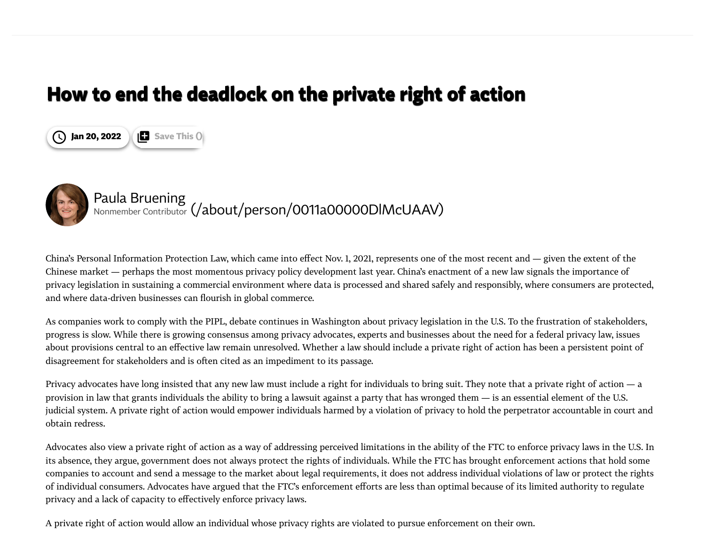## **How to end the deadlock on the private right of action**





## Paula Bruening Nonmember Contributor [\(/about/person/0011a00000DlMcUAAV\)](https://iapp.org/about/person/0011a00000DlMcUAAV)

China's Personal Information Protection Law, which came into effect Nov. 1, 2021, represents one of the most recent and — given the extent of the Chinese market — perhaps the most momentous privacy policy development last year. China's enactment of a new law signals the importance of privacy legislation in sustaining a commercial environment where data is processed and shared safely and responsibly, where consumers are protected, and where data-driven businesses can flourish in global commerce.

As companies work to comply with the PIPL, debate continues in Washington about privacy legislation in the U.S. To the frustration of stakeholders, progress is slow. While there is growing consensus among privacy advocates, experts and businesses about the need for a federal privacy law, issues about provisions central to an effective law remain unresolved. Whether a law should include a private right of action has been a persistent point of disagreement for stakeholders and is often cited as an impediment to its passage.

Privacy advocates have long insisted that any new law must include a right for individuals to bring suit. They note that a private right of action — a provision in law that grants individuals the ability to bring a lawsuit against a party that has wronged them — is an essential element of the U.S. judicial system. A private right of action would empower individuals harmed by a violation of privacy to hold the perpetrator accountable in court and obtain redress.

Advocates also view a private right of action as a way of addressing perceived limitations in the ability of the FTC to enforce privacy laws in the U.S. In its absence, they argue, government does not always protect the rights of individuals. While the FTC has brought enforcement actions that hold some companies to account and send a message to the market about legal requirements, it does not address individual violations of law or protect the rights of individual consumers. Advocates have argued that the FTC's enforcement efforts are less than optimal because of its limited authority to regulate privacy and a lack of capacity to effectively enforce privacy laws.

A private right of action would allow an individual whose privacy rights are violated to pursue enforcement on their own.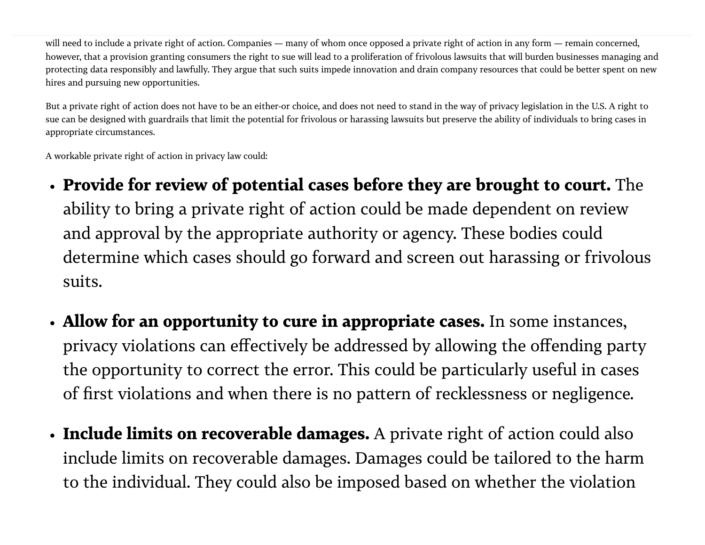will need to include a private right of action. Companies — many of whom once opposed a private right of action in any form — remain concerned, however, that a provision granting consumers the right to sue will lead to a proliferation of frivolous lawsuits that will burden businesses managing and protecting data responsibly and lawfully. They argue that such suits impede innovation and drain company resources that could be better spent on new hires and pursuing new opportunities.

But a private right of action does not have to be an either-or choice, and does not need to stand in the way of privacy legislation in the U.S. A right to sue can be designed with guardrails that limit the potential for frivolous or harassing lawsuits but preserve the ability of individuals to bring cases in appropriate circumstances.

A workable private right of action in privacy law could:

- **Provide for review of potential cases before they are brought to court.** The ability to bring a private right of action could be made dependent on review and approval by the appropriate authority or agency. These bodies could determine which cases should go forward and screen out harassing or frivolous suits.
- **Allow for an opportunity to cure in appropriate cases.** In some instances, privacy violations can effectively be addressed by allowing the offending party the opportunity to correct the error. This could be particularly useful in cases of first violations and when there is no pattern of recklessness or negligence.
- **Include limits on recoverable damages.** A private right of action could also include limits on recoverable damages. Damages could be tailored to the harm to the individual. They could also be imposed based on whether the violation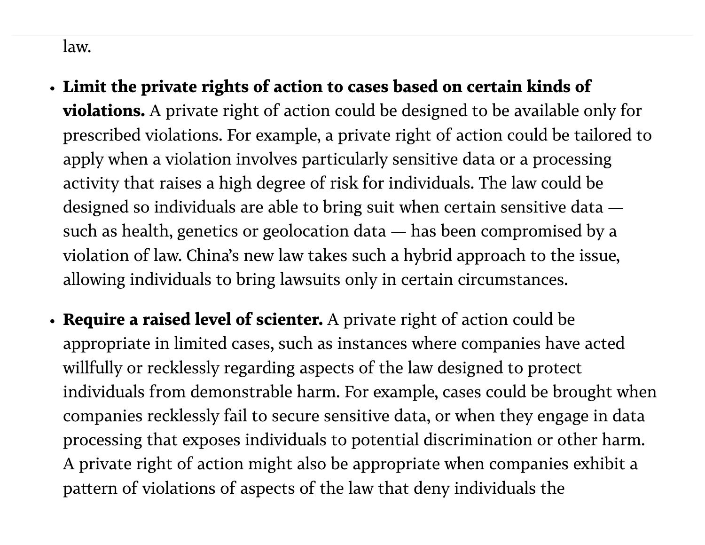## law.

- **Limit the private rights of action to cases based on certain kinds of violations.** A private right of action could be designed to be available only for prescribed violations. For example, a private right of action could be tailored to apply when a violation involves particularly sensitive data or a processing activity that raises a high degree of risk for individuals. The law could be designed so individuals are able to bring suit when certain sensitive data such as health, genetics or geolocation data — has been compromised by a violation of law. China's new law takes such a hybrid approach to the issue, allowing individuals to bring lawsuits only in certain circumstances.
- **Require a raised level of scienter.** A private right of action could be appropriate in limited cases, such as instances where companies have acted willfully or recklessly regarding aspects of the law designed to protect individuals from demonstrable harm. For example, cases could be brought when companies recklessly fail to secure sensitive data, or when they engage in data processing that exposes individuals to potential discrimination or other harm. A private right of action might also be appropriate when companies exhibit a pattern of violations of aspects of the law that deny individuals the